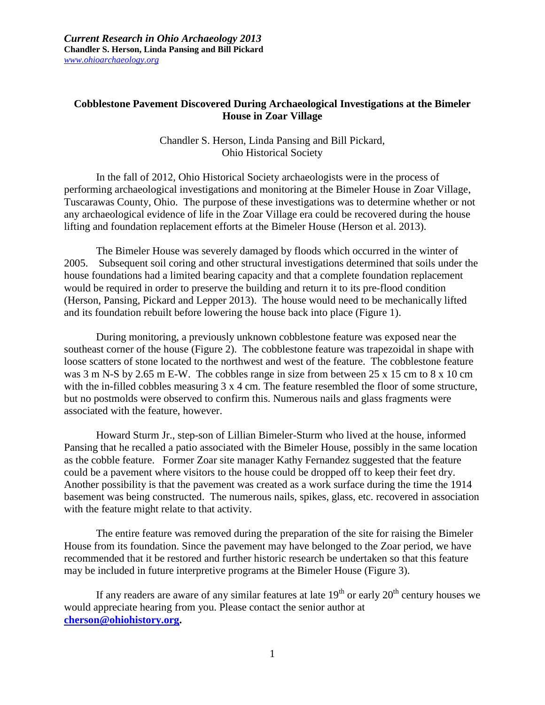## **Cobblestone Pavement Discovered During Archaeological Investigations at the Bimeler House in Zoar Village**

Chandler S. Herson, Linda Pansing and Bill Pickard, Ohio Historical Society

In the fall of 2012, Ohio Historical Society archaeologists were in the process of performing archaeological investigations and monitoring at the Bimeler House in Zoar Village, Tuscarawas County, Ohio. The purpose of these investigations was to determine whether or not any archaeological evidence of life in the Zoar Village era could be recovered during the house lifting and foundation replacement efforts at the Bimeler House (Herson et al. 2013).

The Bimeler House was severely damaged by floods which occurred in the winter of 2005. Subsequent soil coring and other structural investigations determined that soils under the house foundations had a limited bearing capacity and that a complete foundation replacement would be required in order to preserve the building and return it to its pre-flood condition (Herson, Pansing, Pickard and Lepper 2013). The house would need to be mechanically lifted and its foundation rebuilt before lowering the house back into place (Figure 1).

During monitoring, a previously unknown cobblestone feature was exposed near the southeast corner of the house (Figure 2). The cobblestone feature was trapezoidal in shape with loose scatters of stone located to the northwest and west of the feature. The cobblestone feature was 3 m N-S by 2.65 m E-W. The cobbles range in size from between 25 x 15 cm to 8 x 10 cm with the in-filled cobbles measuring 3 x 4 cm. The feature resembled the floor of some structure, but no postmolds were observed to confirm this. Numerous nails and glass fragments were associated with the feature, however.

Howard Sturm Jr., step-son of Lillian Bimeler-Sturm who lived at the house, informed Pansing that he recalled a patio associated with the Bimeler House, possibly in the same location as the cobble feature. Former Zoar site manager Kathy Fernandez suggested that the feature could be a pavement where visitors to the house could be dropped off to keep their feet dry. Another possibility is that the pavement was created as a work surface during the time the 1914 basement was being constructed. The numerous nails, spikes, glass, etc. recovered in association with the feature might relate to that activity.

The entire feature was removed during the preparation of the site for raising the Bimeler House from its foundation. Since the pavement may have belonged to the Zoar period, we have recommended that it be restored and further historic research be undertaken so that this feature may be included in future interpretive programs at the Bimeler House (Figure 3).

If any readers are aware of any similar features at late  $19<sup>th</sup>$  or early  $20<sup>th</sup>$  century houses we would appreciate hearing from you. Please contact the senior author at **[cherson@ohiohistory.org.](mailto:cherson@ohiohistory.org)**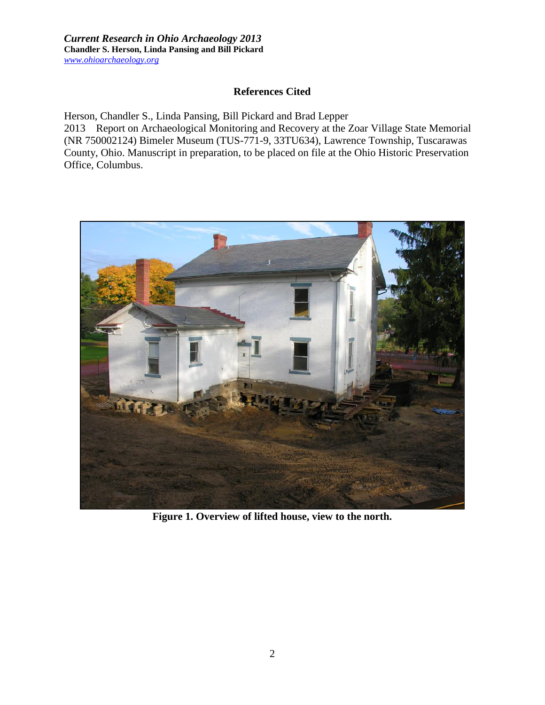*Current Research in Ohio Archaeology 2013* **Chandler S. Herson, Linda Pansing and Bill Pickard** *www.ohioarchaeology.org*

## **References Cited**

Herson, Chandler S., Linda Pansing, Bill Pickard and Brad Lepper 2013 Report on Archaeological Monitoring and Recovery at the Zoar Village State Memorial (NR 750002124) Bimeler Museum (TUS-771-9, 33TU634), Lawrence Township, Tuscarawas County, Ohio. Manuscript in preparation, to be placed on file at the Ohio Historic Preservation Office, Columbus.



**Figure 1. Overview of lifted house, view to the north.**